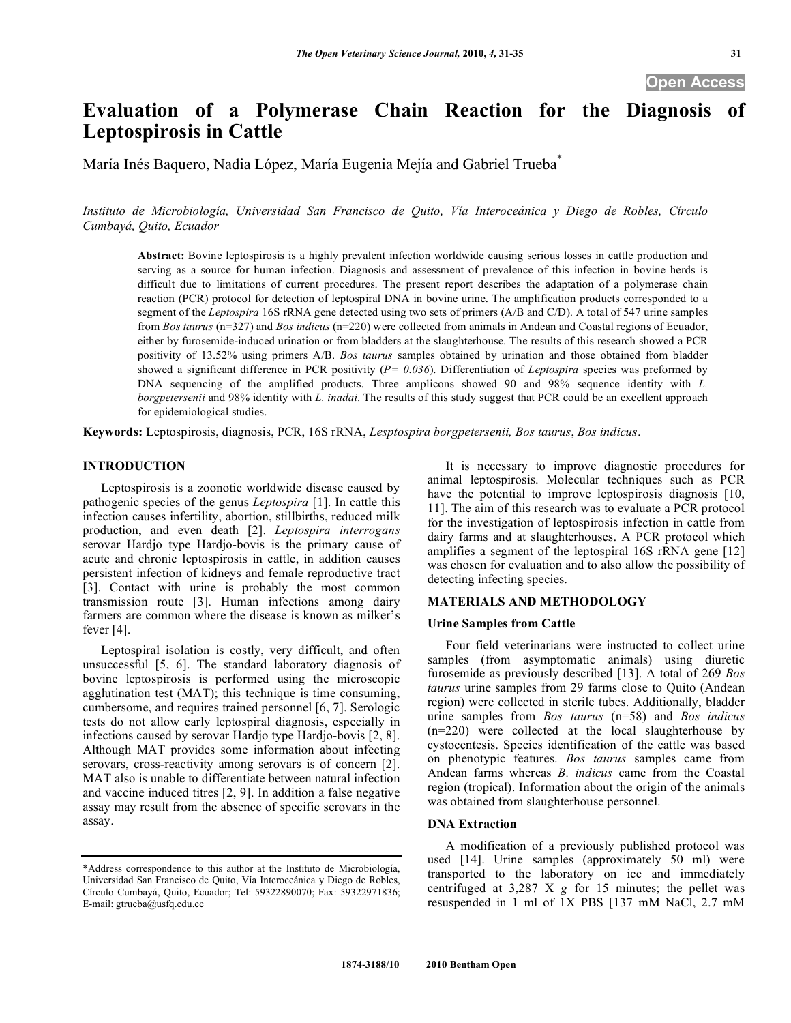# **Evaluation of a Polymerase Chain Reaction for the Diagnosis of Leptospirosis in Cattle**

María Inés Baquero, Nadia López, María Eugenia Mejía and Gabriel Trueba\*

*Instituto de Microbiología, Universidad San Francisco de Quito, Vía Interoceánica y Diego de Robles, Círculo Cumbayá, Quito, Ecuador* 

**Abstract:** Bovine leptospirosis is a highly prevalent infection worldwide causing serious losses in cattle production and serving as a source for human infection. Diagnosis and assessment of prevalence of this infection in bovine herds is difficult due to limitations of current procedures. The present report describes the adaptation of a polymerase chain reaction (PCR) protocol for detection of leptospiral DNA in bovine urine. The amplification products corresponded to a segment of the *Leptospira* 16S rRNA gene detected using two sets of primers (A/B and C/D). A total of 547 urine samples from *Bos taurus* (n=327) and *Bos indicus* (n=220) were collected from animals in Andean and Coastal regions of Ecuador, either by furosemide-induced urination or from bladders at the slaughterhouse. The results of this research showed a PCR positivity of 13.52% using primers A/B. *Bos taurus* samples obtained by urination and those obtained from bladder showed a significant difference in PCR positivity (*P= 0.036*). Differentiation of *Leptospira* species was preformed by DNA sequencing of the amplified products. Three amplicons showed 90 and 98% sequence identity with *L. borgpetersenii* and 98% identity with *L. inadai*. The results of this study suggest that PCR could be an excellent approach for epidemiological studies.

**Keywords:** Leptospirosis, diagnosis, PCR, 16S rRNA, *Lesptospira borgpetersenii, Bos taurus*, *Bos indicus*.

# **INTRODUCTION**

 Leptospirosis is a zoonotic worldwide disease caused by pathogenic species of the genus *Leptospira* [1]. In cattle this infection causes infertility, abortion, stillbirths, reduced milk production, and even death [2]. *Leptospira interrogans* serovar Hardjo type Hardjo-bovis is the primary cause of acute and chronic leptospirosis in cattle, in addition causes persistent infection of kidneys and female reproductive tract [3]. Contact with urine is probably the most common transmission route [3]. Human infections among dairy farmers are common where the disease is known as milker's fever [4].

 Leptospiral isolation is costly, very difficult, and often unsuccessful [5, 6]. The standard laboratory diagnosis of bovine leptospirosis is performed using the microscopic agglutination test (MAT); this technique is time consuming, cumbersome, and requires trained personnel [6, 7]. Serologic tests do not allow early leptospiral diagnosis, especially in infections caused by serovar Hardjo type Hardjo-bovis [2, 8]. Although MAT provides some information about infecting serovars, cross-reactivity among serovars is of concern [2]. MAT also is unable to differentiate between natural infection and vaccine induced titres [2, 9]. In addition a false negative assay may result from the absence of specific serovars in the assay.

 It is necessary to improve diagnostic procedures for animal leptospirosis. Molecular techniques such as PCR have the potential to improve leptospirosis diagnosis [10, 11]. The aim of this research was to evaluate a PCR protocol for the investigation of leptospirosis infection in cattle from dairy farms and at slaughterhouses. A PCR protocol which amplifies a segment of the leptospiral 16S rRNA gene [12] was chosen for evaluation and to also allow the possibility of detecting infecting species.

## **MATERIALS AND METHODOLOGY**

## **Urine Samples from Cattle**

 Four field veterinarians were instructed to collect urine samples (from asymptomatic animals) using diuretic furosemide as previously described [13]. A total of 269 *Bos taurus* urine samples from 29 farms close to Quito (Andean region) were collected in sterile tubes. Additionally, bladder urine samples from *Bos taurus* (n=58) and *Bos indicus*  (n=220) were collected at the local slaughterhouse by cystocentesis. Species identification of the cattle was based on phenotypic features. *Bos taurus* samples came from Andean farms whereas *B. indicus* came from the Coastal region (tropical). Information about the origin of the animals was obtained from slaughterhouse personnel.

## **DNA Extraction**

 A modification of a previously published protocol was used [14]. Urine samples (approximately 50 ml) were transported to the laboratory on ice and immediately centrifuged at 3,287 X *g* for 15 minutes; the pellet was resuspended in 1 ml of 1X PBS [137 mM NaCl, 2.7 mM

<sup>\*</sup>Address correspondence to this author at the Instituto de Microbiología, Universidad San Francisco de Quito, Vía Interoceánica y Diego de Robles, Círculo Cumbayá, Quito, Ecuador; Tel: 59322890070; Fax: 59322971836; E-mail: gtrueba@usfq.edu.ec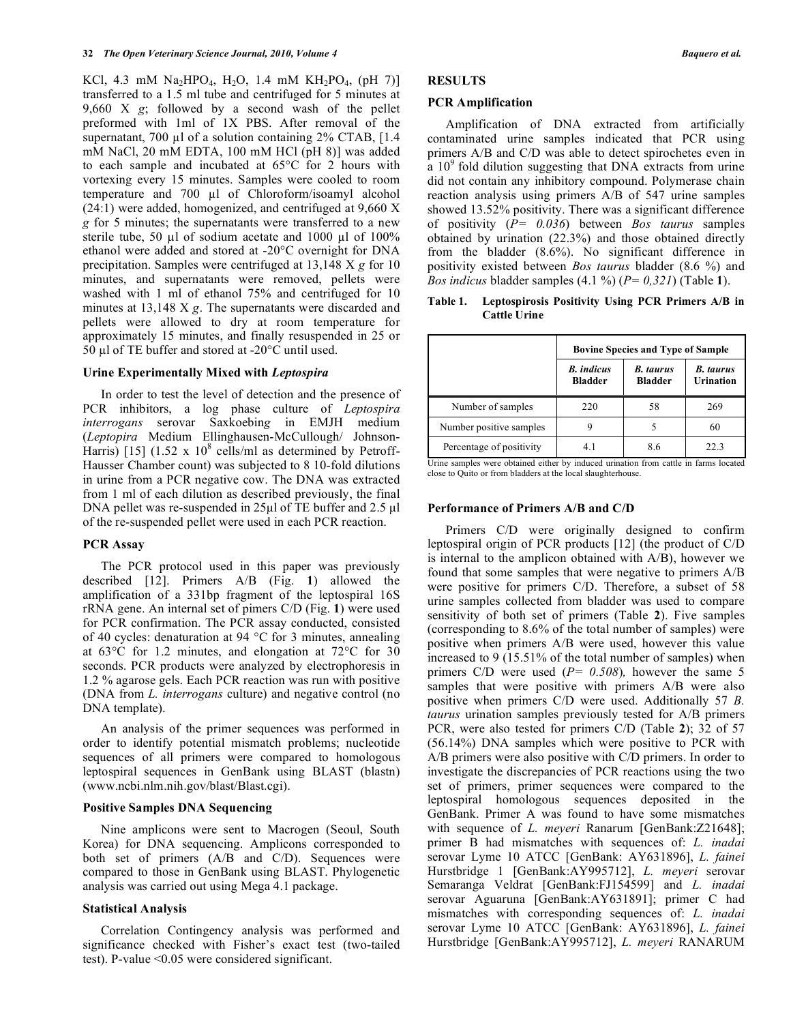KCl, 4.3 mM Na<sub>2</sub>HPO<sub>4</sub>, H<sub>2</sub>O, 1.4 mM KH<sub>2</sub>PO<sub>4</sub>, (pH 7)] transferred to a 1.5 ml tube and centrifuged for 5 minutes at 9,660 X *g*; followed by a second wash of the pellet preformed with 1ml of 1X PBS. After removal of the supernatant, 700  $\mu$ l of a solution containing 2% CTAB, [1.4] mM NaCl, 20 mM EDTA, 100 mM HCl (pH 8)] was added to each sample and incubated at 65°C for 2 hours with vortexing every 15 minutes. Samples were cooled to room temperature and 700 µl of Chloroform/isoamyl alcohol (24:1) were added, homogenized, and centrifuged at 9,660 X *g* for 5 minutes; the supernatants were transferred to a new sterile tube, 50  $\mu$ l of sodium acetate and 1000  $\mu$ l of 100% ethanol were added and stored at -20°C overnight for DNA precipitation. Samples were centrifuged at 13,148 X *g* for 10 minutes, and supernatants were removed, pellets were washed with 1 ml of ethanol 75% and centrifuged for 10 minutes at 13,148 X *g*. The supernatants were discarded and pellets were allowed to dry at room temperature for approximately 15 minutes, and finally resuspended in 25 or 50 µl of TE buffer and stored at  $-20^{\circ}$ C until used.

## **Urine Experimentally Mixed with** *Leptospira*

 In order to test the level of detection and the presence of PCR inhibitors, a log phase culture of *Leptospira interrogans* serovar Saxkoebin*g* in EMJH medium (*Leptopira* Medium Ellinghausen-McCullough/ Johnson-Harris) [15]  $(1.52 \times 10^8 \text{ cells/ml as determined by Petroff}$ Hausser Chamber count) was subjected to 8 10-fold dilutions in urine from a PCR negative cow. The DNA was extracted from 1 ml of each dilution as described previously, the final DNA pellet was re-suspended in 25μl of TE buffer and 2.5 μl of the re-suspended pellet were used in each PCR reaction.

## **PCR Assay**

 The PCR protocol used in this paper was previously described [12]. Primers A/B (Fig. **1**) allowed the amplification of a 331bp fragment of the leptospiral 16S rRNA gene. An internal set of pimers C/D (Fig. **1**) were used for PCR confirmation. The PCR assay conducted, consisted of 40 cycles: denaturation at 94 °C for 3 minutes, annealing at 63°C for 1.2 minutes, and elongation at 72°C for 30 seconds. PCR products were analyzed by electrophoresis in 1.2 % agarose gels. Each PCR reaction was run with positive (DNA from *L. interrogans* culture) and negative control (no DNA template).

 An analysis of the primer sequences was performed in order to identify potential mismatch problems; nucleotide sequences of all primers were compared to homologous leptospiral sequences in GenBank using BLAST (blastn) (www.ncbi.nlm.nih.gov/blast/Blast.cgi).

## **Positive Samples DNA Sequencing**

 Nine amplicons were sent to Macrogen (Seoul, South Korea) for DNA sequencing. Amplicons corresponded to both set of primers (A/B and C/D). Sequences were compared to those in GenBank using BLAST. Phylogenetic analysis was carried out using Mega 4.1 package.

## **Statistical Analysis**

 Correlation Contingency analysis was performed and significance checked with Fisher's exact test (two-tailed test). P-value <0.05 were considered significant.

# **RESULTS**

#### **PCR Amplification**

 Amplification of DNA extracted from artificially contaminated urine samples indicated that PCR using primers A/B and C/D was able to detect spirochetes even in a  $10<sup>9</sup>$  fold dilution suggesting that DNA extracts from urine did not contain any inhibitory compound. Polymerase chain reaction analysis using primers A/B of 547 urine samples showed 13.52% positivity. There was a significant difference of positivity (*P= 0.036*) between *Bos taurus* samples obtained by urination (22.3%) and those obtained directly from the bladder (8.6%). No significant difference in positivity existed between *Bos taurus* bladder (8.6 %) and *Bos indicus* bladder samples (4.1 %) (*P= 0,321*) (Table **1**).

## **Table 1. Leptospirosis Positivity Using PCR Primers A/B in Cattle Urine**

|                          | <b>Bovine Species and Type of Sample</b> |                                    |                               |  |  |
|--------------------------|------------------------------------------|------------------------------------|-------------------------------|--|--|
|                          | <b>B.</b> indicus<br><b>Bladder</b>      | <b>B.</b> taurus<br><b>Bladder</b> | <b>B.</b> taurus<br>Urination |  |  |
| Number of samples        | 220                                      | 58                                 | 269                           |  |  |
| Number positive samples  |                                          |                                    | 60                            |  |  |
| Percentage of positivity |                                          |                                    | 22 3                          |  |  |

Urine samples were obtained either by induced urination from cattle in farms located close to Quito or from bladders at the local slaughterhouse.

## **Performance of Primers A/B and C/D**

 Primers C/D were originally designed to confirm leptospiral origin of PCR products [12] (the product of C/D is internal to the amplicon obtained with A/B), however we found that some samples that were negative to primers A/B were positive for primers C/D. Therefore, a subset of 58 urine samples collected from bladder was used to compare sensitivity of both set of primers (Table **2**). Five samples (corresponding to 8.6% of the total number of samples) were positive when primers A/B were used, however this value increased to 9 (15.51% of the total number of samples) when primers C/D were used (*P= 0.508*)*,* however the same 5 samples that were positive with primers A/B were also positive when primers C/D were used. Additionally 57 *B. taurus* urination samples previously tested for A/B primers PCR, were also tested for primers C/D (Table **2**); 32 of 57 (56.14%) DNA samples which were positive to PCR with A/B primers were also positive with C/D primers. In order to investigate the discrepancies of PCR reactions using the two set of primers, primer sequences were compared to the leptospiral homologous sequences deposited in the GenBank. Primer A was found to have some mismatches with sequence of *L. meyeri* Ranarum [GenBank:Z21648]; primer B had mismatches with sequences of: *L. inadai* serovar Lyme 10 ATCC [GenBank: AY631896], *L. fainei* Hurstbridge 1 [GenBank:AY995712], *L. meyeri* serovar Semaranga Veldrat [GenBank:FJ154599] and *L. inadai*  serovar Aguaruna [GenBank:AY631891]; primer C had mismatches with corresponding sequences of: *L. inadai*  serovar Lyme 10 ATCC [GenBank: AY631896], *L. fainei* Hurstbridge [GenBank:AY995712], *L. meyeri* RANARUM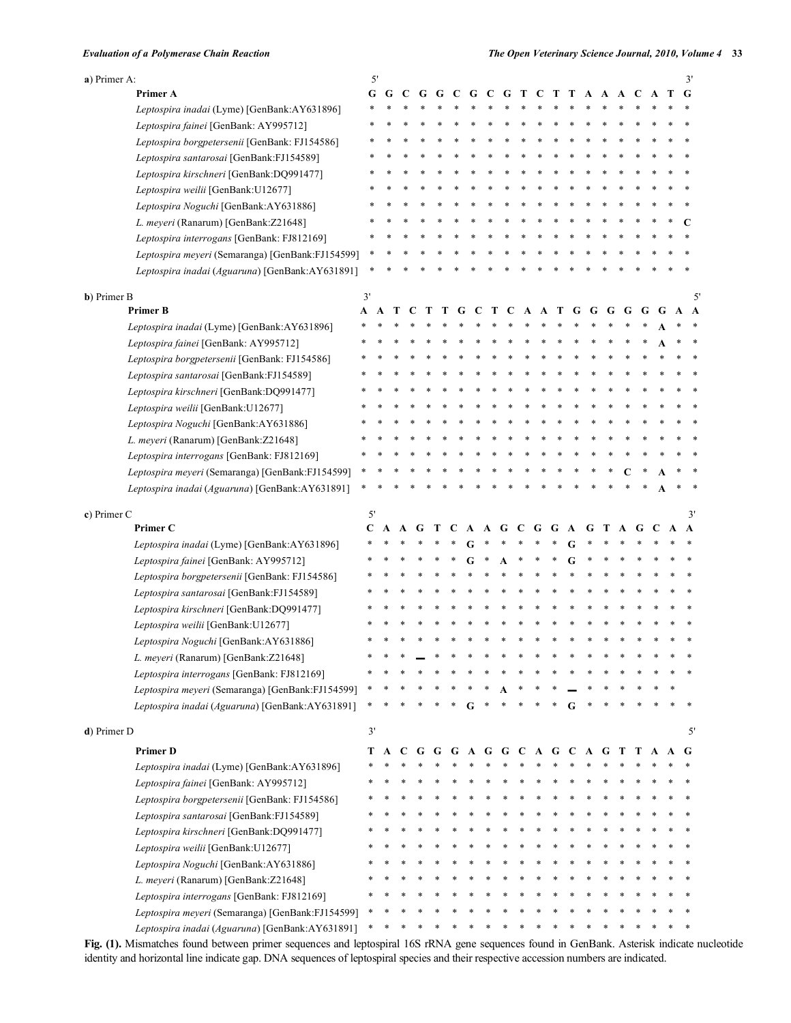| a) Primer A:                                                                                        | 5' |   |   |   |   |              |              |     |   |             |   |   |   |   |   |   |   |   |   | 3' |
|-----------------------------------------------------------------------------------------------------|----|---|---|---|---|--------------|--------------|-----|---|-------------|---|---|---|---|---|---|---|---|---|----|
| Primer A                                                                                            | G  | G | C | G | G | $\mathbf{C}$ | G            | - C | G | T           | C | Т | Т | A | A | A | C |   | Т | G  |
| Leptospira inadai (Lyme) [GenBank:AY631896]                                                         |    |   |   |   |   |              |              |     |   |             |   |   |   |   |   |   |   |   |   |    |
| Leptospira fainei [GenBank: AY995712]                                                               |    |   |   |   |   |              |              |     |   |             |   |   |   |   |   |   |   |   |   |    |
| Leptospira borgpetersenii [GenBank: FJ154586]                                                       |    |   |   |   |   |              |              |     |   |             |   |   |   |   |   |   |   |   |   |    |
| Leptospira santarosai [GenBank:FJ154589]                                                            |    |   |   |   |   |              |              |     |   |             |   |   |   |   |   |   |   |   |   |    |
| Leptospira kirschneri [GenBank:DQ991477]                                                            |    |   |   |   |   |              |              |     |   |             |   |   |   |   |   |   |   |   |   |    |
| Leptospira weilii [GenBank:U12677]                                                                  |    |   |   |   |   |              |              |     |   |             |   |   |   |   |   |   |   |   |   |    |
| Leptospira Noguchi [GenBank:AY631886]                                                               |    |   |   |   |   |              |              |     |   |             |   |   |   |   |   |   |   |   |   |    |
| L. meyeri (Ranarum) [GenBank: Z21648]                                                               |    |   |   |   |   |              |              |     |   |             |   |   |   |   |   |   |   |   |   | C  |
| Leptospira interrogans [GenBank: FJ812169]                                                          |    |   |   |   |   |              |              |     |   |             |   |   |   |   |   |   |   |   |   |    |
| Leptospira meyeri (Semaranga) [GenBank:FJ154599]                                                    |    |   |   |   |   |              |              |     |   |             |   |   |   |   |   |   |   |   |   |    |
| Leptospira inadai (Aguaruna) [GenBank:AY631891]                                                     |    |   |   |   |   |              |              |     |   |             |   |   |   |   |   |   |   |   |   |    |
| <b>b</b> ) Primer B                                                                                 | 3' |   |   |   |   |              |              |     |   |             |   |   |   |   |   |   |   |   |   | 5' |
| <b>Primer B</b>                                                                                     | A  | A |   |   |   |              |              |     |   |             | A | Т | G | G | G | G |   | G | A | A  |
| Leptospira inadai (Lyme) [GenBank:AY631896]                                                         |    |   |   |   |   |              |              |     |   |             |   |   |   |   |   |   |   |   |   |    |
| Leptospira fainei [GenBank: AY995712]                                                               |    |   |   |   |   |              |              |     |   |             |   |   |   |   |   |   |   |   |   |    |
| Leptospira borgpetersenii [GenBank: FJ154586]                                                       |    |   |   |   |   |              |              |     |   |             |   |   |   |   |   |   |   |   |   |    |
| Leptospira santarosai [GenBank:FJ154589]                                                            |    |   |   |   |   |              |              |     |   |             |   |   |   |   |   |   |   |   |   |    |
| Leptospira kirschneri [GenBank:DQ991477]                                                            |    |   |   |   |   |              |              |     |   |             |   |   |   |   |   |   |   |   |   |    |
| Leptospira weilii [GenBank:U12677]                                                                  |    |   |   |   |   |              |              |     |   |             |   |   |   |   |   |   |   |   |   |    |
| Leptospira Noguchi [GenBank:AY631886]                                                               |    |   |   |   |   |              |              |     |   |             |   |   |   |   |   |   |   |   |   |    |
| L. meyeri (Ranarum) [GenBank:Z21648]                                                                |    |   |   |   |   |              |              |     |   |             |   |   |   |   |   |   |   |   |   |    |
|                                                                                                     |    |   |   |   |   |              |              |     |   |             |   |   |   |   |   |   |   |   |   |    |
| Leptospira interrogans [GenBank: FJ812169]                                                          |    |   |   |   |   |              |              |     |   |             |   |   |   |   |   |   |   |   |   |    |
| Leptospira meyeri (Semaranga) [GenBank:FJ154599]                                                    |    |   |   |   |   |              |              |     |   |             |   |   |   |   |   |   |   |   |   |    |
| Leptospira inadai (Aguaruna) [GenBank:AY631891]                                                     |    |   |   |   |   |              |              |     |   |             |   |   |   |   |   |   |   |   |   |    |
|                                                                                                     |    |   |   |   |   |              |              |     |   |             |   |   |   |   |   |   |   |   |   |    |
| c) Primer C                                                                                         | 5' |   |   |   |   |              |              |     |   |             |   |   |   |   |   |   |   |   |   | 3' |
| Primer C                                                                                            | C  | A |   |   |   |              |              |     |   |             |   |   | A | G |   | A |   |   | A | A  |
| Leptospira inadai (Lyme) [GenBank:AY631896]                                                         |    |   |   |   |   |              |              |     |   |             |   |   |   |   |   |   |   |   |   |    |
| Leptospira fainei [GenBank: AY995712]                                                               |    |   |   |   |   |              |              |     |   |             |   |   |   |   |   |   |   |   |   |    |
| Leptospira borgpetersenii [GenBank: FJ154586]                                                       |    |   |   |   |   |              |              |     |   |             |   |   |   |   |   |   |   |   |   |    |
| Leptospira santarosai [GenBank:FJ154589]                                                            |    |   |   |   |   |              |              |     |   |             |   |   |   |   |   |   |   |   |   |    |
| Leptospira kirschneri [GenBank:DQ991477]                                                            |    |   |   |   |   |              |              |     |   |             |   |   |   |   |   |   |   |   |   |    |
| Leptospira weilii [GenBank:U12677]                                                                  |    |   |   |   |   |              |              |     |   |             |   |   |   |   |   |   |   |   |   |    |
| Leptospira Noguchi [GenBank:AY631886]                                                               |    |   |   |   |   |              |              |     |   |             |   |   |   |   |   |   |   |   |   |    |
|                                                                                                     |    |   |   |   |   |              |              |     |   |             |   |   |   |   |   |   |   |   |   |    |
| L. meyeri (Ranarum) [GenBank: Z21648]                                                               |    |   |   |   |   |              |              |     |   |             |   |   |   |   |   |   |   |   |   |    |
| Leptospira interrogans [GenBank: FJ812169]                                                          |    |   |   |   |   |              |              |     |   |             |   |   |   |   |   |   |   |   |   |    |
| Leptospira meyeri (Semaranga) [GenBank:FJ154599]<br>Leptospira inadai (Aguaruna) [GenBank:AY631891] |    |   |   |   |   |              | G            |     |   |             |   |   | G |   |   |   |   |   |   |    |
| d) Primer D                                                                                         | 3' |   |   |   |   |              |              |     |   |             |   |   |   |   |   |   |   |   |   | 5' |
| <b>Primer D</b>                                                                                     | Т  | A | C | G | G | G            | $\mathbf{A}$ | G   |   | G C A G C A |   |   |   |   | G | т | Т |   |   | G  |
|                                                                                                     |    |   |   |   |   |              |              |     |   |             |   |   |   |   |   |   |   |   |   |    |
| Leptospira inadai (Lyme) [GenBank:AY631896]                                                         |    |   |   |   |   |              |              |     |   |             |   |   |   |   |   |   |   |   |   |    |
| Leptospira fainei [GenBank: AY995712]                                                               |    |   |   |   |   |              |              |     |   |             |   |   |   |   |   |   |   |   |   |    |
| Leptospira borgpetersenii [GenBank: FJ154586]                                                       |    |   |   |   |   |              |              |     |   |             |   |   |   |   |   |   |   |   |   |    |
| Leptospira santarosai [GenBank:FJ154589]                                                            |    |   |   |   |   |              |              |     |   |             |   |   |   |   |   |   |   |   |   |    |
| Leptospira kirschneri [GenBank:DQ991477]                                                            |    |   |   |   |   |              |              |     |   |             |   |   |   |   |   |   |   |   |   |    |
| Leptospira weilii [GenBank:U12677]                                                                  |    |   |   |   |   |              |              |     |   |             |   |   |   |   |   |   |   |   |   |    |
| Leptospira Noguchi [GenBank:AY631886]                                                               |    |   |   |   |   |              |              |     |   |             |   |   |   |   |   |   |   |   |   |    |
| L. meyeri (Ranarum) [GenBank:Z21648]                                                                |    |   |   |   |   |              |              |     |   |             |   |   |   |   |   |   |   |   |   |    |
| Leptospira interrogans [GenBank: FJ812169]<br>Leptospira meyeri (Semaranga) [GenBank:FJ154599]      |    |   |   |   |   |              |              |     |   |             |   |   |   |   |   |   |   |   |   |    |

**Fig. (1).** Mismatches found between primer sequences and leptospiral 16S rRNA gene sequences found in GenBank. Asterisk indicate nucleotide identity and horizontal line indicate gap. DNA sequences of leptospiral species and their respective accession numbers are indicated.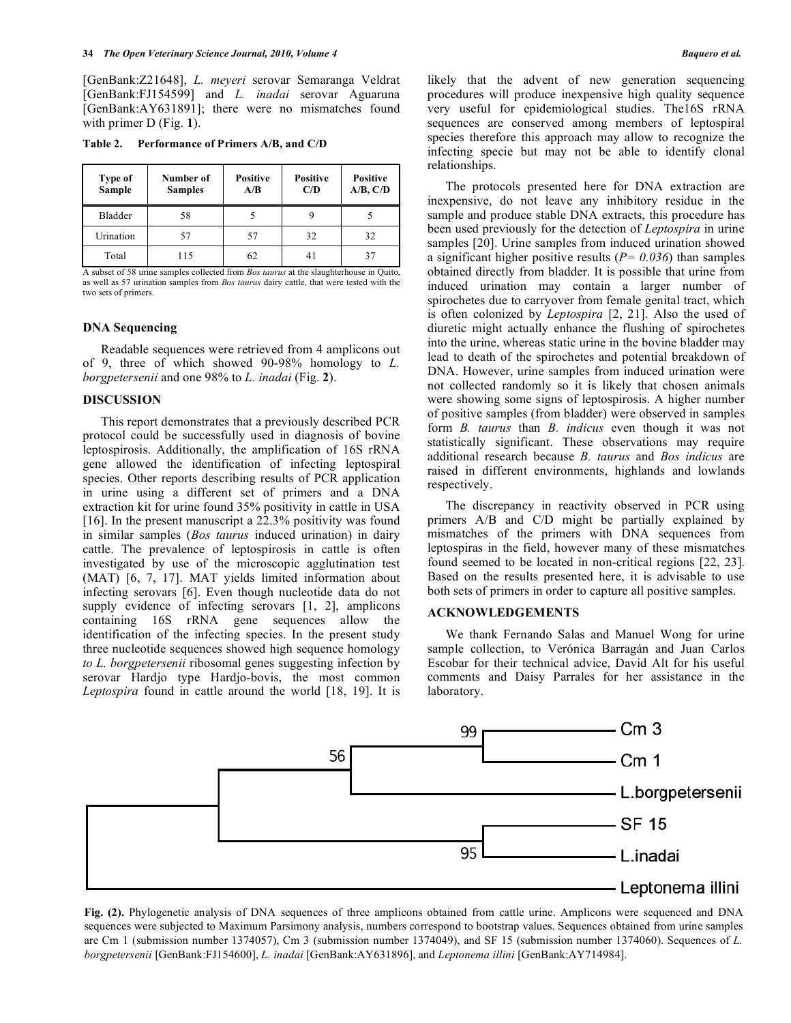[GenBank:Z21648], *L. meyeri* serovar Semaranga Veldrat [GenBank:FJ154599] and *L. inadai* serovar Aguaruna [GenBank:AY631891]; there were no mismatches found with primer D (Fig. **1**).

**Table 2. Performance of Primers A/B, and C/D** 

| Type of<br>Sample | Number of<br><b>Samples</b> | <b>Positive</b><br>A/B | <b>Positive</b><br>C/D | <b>Positive</b><br>A/B, C/D |
|-------------------|-----------------------------|------------------------|------------------------|-----------------------------|
| Bladder           | 58                          |                        |                        |                             |
| Urination         | 57                          | 57                     | 32                     | 32                          |
| Total             | 115                         | 62                     | 4 I                    | 31                          |

A subset of 58 urine samples collected from *Bos taurus* at the slaughterhouse in Quito, as well as 57 urination samples from *Bos taurus* dairy cattle, that were tested with the two sets of primers.

## **DNA Sequencing**

 Readable sequences were retrieved from 4 amplicons out of 9, three of which showed 90-98% homology to *L. borgpetersenii* and one 98% to *L. inadai* (Fig. **2**).

### **DISCUSSION**

 This report demonstrates that a previously described PCR protocol could be successfully used in diagnosis of bovine leptospirosis. Additionally, the amplification of 16S rRNA gene allowed the identification of infecting leptospiral species. Other reports describing results of PCR application in urine using a different set of primers and a DNA extraction kit for urine found 35% positivity in cattle in USA [16]. In the present manuscript a 22.3% positivity was found in similar samples (*Bos taurus* induced urination) in dairy cattle. The prevalence of leptospirosis in cattle is often investigated by use of the microscopic agglutination test (MAT) [6, 7, 17]. MAT yields limited information about infecting serovars [6]. Even though nucleotide data do not supply evidence of infecting serovars [1, 2], amplicons containing 16S rRNA gene sequences allow the identification of the infecting species. In the present study three nucleotide sequences showed high sequence homology *to L. borgpetersenii* ribosomal genes suggesting infection by serovar Hardjo type Hardjo-bovis, the most common *Leptospira* found in cattle around the world [18, 19]. It is likely that the advent of new generation sequencing procedures will produce inexpensive high quality sequence very useful for epidemiological studies. The16S rRNA sequences are conserved among members of leptospiral species therefore this approach may allow to recognize the infecting specie but may not be able to identify clonal relationships.

 The protocols presented here for DNA extraction are inexpensive, do not leave any inhibitory residue in the sample and produce stable DNA extracts, this procedure has been used previously for the detection of *Leptospira* in urine samples [20]. Urine samples from induced urination showed a significant higher positive results (*P= 0.036*) than samples obtained directly from bladder. It is possible that urine from induced urination may contain a larger number of spirochetes due to carryover from female genital tract, which is often colonized by *Leptospira* [2, 21]. Also the used of diuretic might actually enhance the flushing of spirochetes into the urine, whereas static urine in the bovine bladder may lead to death of the spirochetes and potential breakdown of DNA. However, urine samples from induced urination were not collected randomly so it is likely that chosen animals were showing some signs of leptospirosis. A higher number of positive samples (from bladder) were observed in samples form *B. taurus* than *B. indicus* even though it was not statistically significant. These observations may require additional research because *B. taurus* and *Bos indicus* are raised in different environments, highlands and lowlands respectively.

 The discrepancy in reactivity observed in PCR using primers A/B and C/D might be partially explained by mismatches of the primers with DNA sequences from leptospiras in the field, however many of these mismatches found seemed to be located in non-critical regions [22, 23]. Based on the results presented here, it is advisable to use both sets of primers in order to capture all positive samples.

## **ACKNOWLEDGEMENTS**

 We thank Fernando Salas and Manuel Wong for urine sample collection, to Verónica Barragán and Juan Carlos Escobar for their technical advice, David Alt for his useful comments and Daisy Parrales for her assistance in the laboratory.



**Fig. (2).** Phylogenetic analysis of DNA sequences of three amplicons obtained from cattle urine. Amplicons were sequenced and DNA sequences were subjected to Maximum Parsimony analysis, numbers correspond to bootstrap values. Sequences obtained from urine samples are Cm 1 (submission number 1374057), Cm 3 (submission number 1374049), and SF 15 (submission number 1374060). Sequences of *L. borgpetersenii* [GenBank:FJ154600], *L. inadai* [GenBank:AY631896], and *Leptonema illini* [GenBank:AY714984].